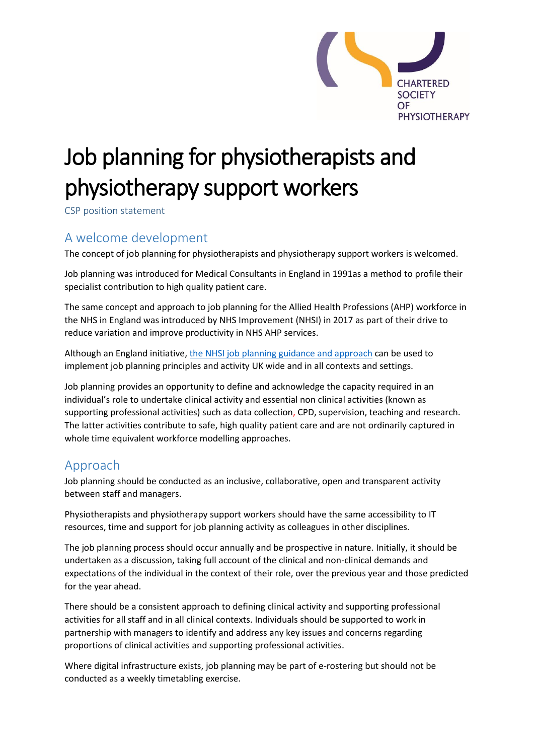

# Job planning for physiotherapists and physiotherapy support workers

CSP position statement

#### A welcome development

The concept of job planning for physiotherapists and physiotherapy support workers is welcomed.

Job planning was introduced for Medical Consultants in England in 1991as a method to profile their specialist contribution to high quality patient care.

The same concept and approach to job planning for the Allied Health Professions (AHP) workforce in the NHS in England was introduced by NHS Improvement (NHSI) in 2017 as part of their drive to reduce variation and improve productivity in NHS AHP services.

Although an England initiative, the [NHSI job planning guidance and approach](https://improvement.nhs.uk/documents/919/Final_AHP_job_planning_FINAL_3a.pdf) can be used to implement job planning principles and activity UK wide and in all contexts and settings.

Job planning provides an opportunity to define and acknowledge the capacity required in an individual's role to undertake clinical activity and essential non clinical activities (known as supporting professional activities) such as data collection, CPD, supervision, teaching and research. The latter activities contribute to safe, high quality patient care and are not ordinarily captured in whole time equivalent workforce modelling approaches.

#### Approach

Job planning should be conducted as an inclusive, collaborative, open and transparent activity between staff and managers.

Physiotherapists and physiotherapy support workers should have the same accessibility to IT resources, time and support for job planning activity as colleagues in other disciplines.

The job planning process should occur annually and be prospective in nature. Initially, it should be undertaken as a discussion, taking full account of the clinical and non-clinical demands and expectations of the individual in the context of their role, over the previous year and those predicted for the year ahead.

There should be a consistent approach to defining clinical activity and supporting professional activities for all staff and in all clinical contexts. Individuals should be supported to work in partnership with managers to identify and address any key issues and concerns regarding proportions of clinical activities and supporting professional activities.

Where digital infrastructure exists, job planning may be part of e-rostering but should not be conducted as a weekly timetabling exercise.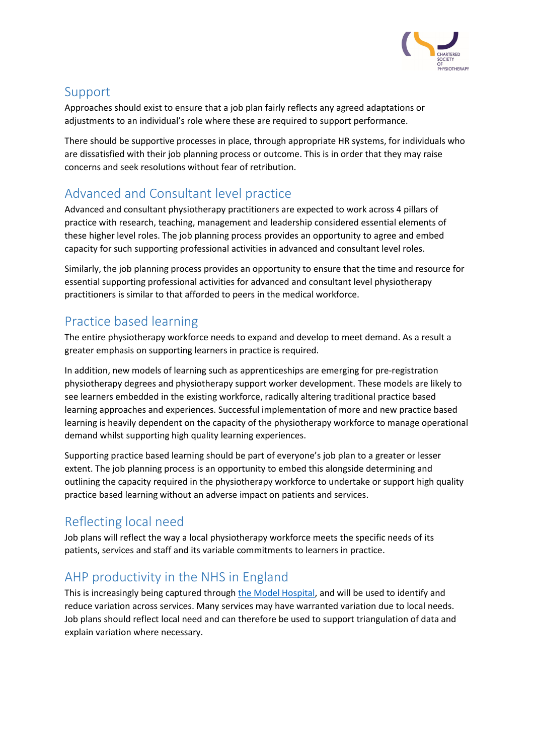

#### Support

Approaches should exist to ensure that a job plan fairly reflects any agreed adaptations or adjustments to an individual's role where these are required to support performance.

There should be supportive processes in place, through appropriate HR systems, for individuals who are dissatisfied with their job planning process or outcome. This is in order that they may raise concerns and seek resolutions without fear of retribution.

# Advanced and Consultant level practice

Advanced and consultant physiotherapy practitioners are expected to work across 4 pillars of practice with research, teaching, management and leadership considered essential elements of these higher level roles. The job planning process provides an opportunity to agree and embed capacity for such supporting professional activities in advanced and consultant level roles.

Similarly, the job planning process provides an opportunity to ensure that the time and resource for essential supporting professional activities for advanced and consultant level physiotherapy practitioners is similar to that afforded to peers in the medical workforce.

## Practice based learning

The entire physiotherapy workforce needs to expand and develop to meet demand. As a result a greater emphasis on supporting learners in practice is required.

In addition, new models of learning such as apprenticeships are emerging for pre-registration physiotherapy degrees and physiotherapy support worker development. These models are likely to see learners embedded in the existing workforce, radically altering traditional practice based learning approaches and experiences. Successful implementation of more and new practice based learning is heavily dependent on the capacity of the physiotherapy workforce to manage operational demand whilst supporting high quality learning experiences.

Supporting practice based learning should be part of everyone's job plan to a greater or lesser extent. The job planning process is an opportunity to embed this alongside determining and outlining the capacity required in the physiotherapy workforce to undertake or support high quality practice based learning without an adverse impact on patients and services.

### Reflecting local need

Job plans will reflect the way a local physiotherapy workforce meets the specific needs of its patients, services and staff and its variable commitments to learners in practice.

### AHP productivity in the NHS in England

This is increasingly being captured throug[h the Model Hospital,](https://improvement.nhs.uk/resources/model-hospital/) and will be used to identify and reduce variation across services. Many services may have warranted variation due to local needs. Job plans should reflect local need and can therefore be used to support triangulation of data and explain variation where necessary.